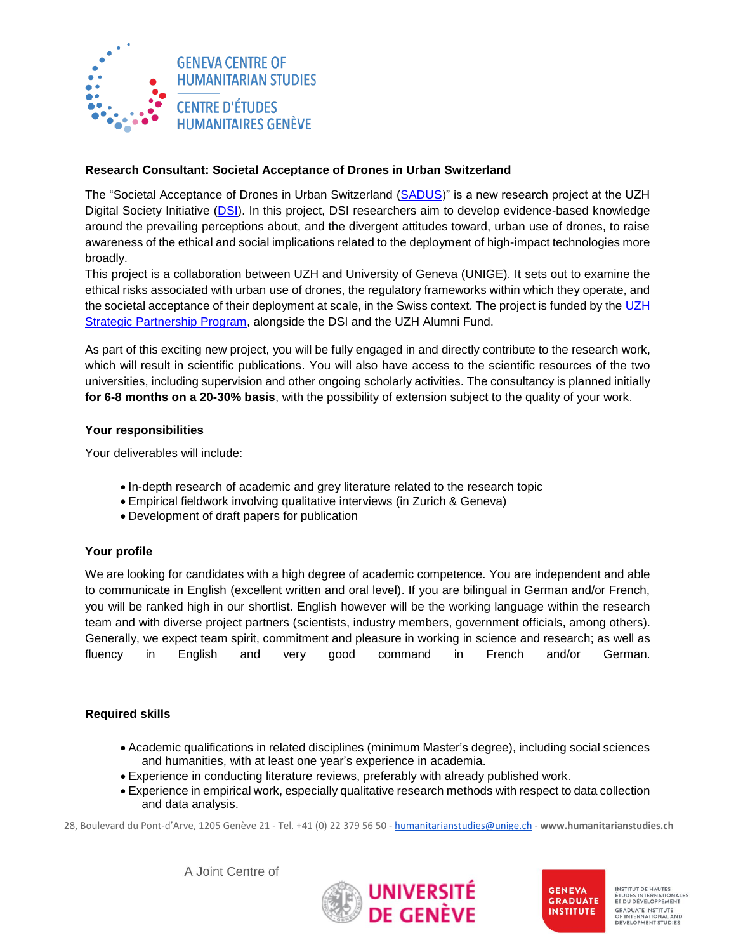

# **Research Consultant: Societal Acceptance of Drones in Urban Switzerland**

The "Societal Acceptance of Drones in Urban Switzerland [\(SADUS\)](https://ethics.dsi.uzh.ch/project/sadus/)" is a new research project at the UZH Digital Society Initiative [\(DSI\)](https://www.dsi.uzh.ch/en.html). In this project, DSI researchers aim to develop evidence-based knowledge around the prevailing perceptions about, and the divergent attitudes toward, urban use of drones, to raise awareness of the ethical and social implications related to the deployment of high-impact technologies more broadly.

This project is a collaboration between UZH and University of Geneva (UNIGE). It sets out to examine the ethical risks associated with urban use of drones, the regulatory frameworks within which they operate, and the societal acceptance of their deployment at scale, in the Swiss context. The project is funded by the [UZH](https://unige-cofunds.ch/university-of-zurich/call-2022#5)  **[Strategic Partnership Program,](https://unige-cofunds.ch/university-of-zurich/call-2022#5) alongside the DSI and the UZH Alumni Fund.** 

As part of this exciting new project, you will be fully engaged in and directly contribute to the research work, which will result in scientific publications. You will also have access to the scientific resources of the two universities, including supervision and other ongoing scholarly activities. The consultancy is planned initially **for 6-8 months on a 20-30% basis**, with the possibility of extension subject to the quality of your work.

# **Your responsibilities**

Your deliverables will include:

- In-depth research of academic and grey literature related to the research topic
- Empirical fieldwork involving qualitative interviews (in Zurich & Geneva)
- Development of draft papers for publication

## **Your profile**

We are looking for candidates with a high degree of academic competence. You are independent and able to communicate in English (excellent written and oral level). If you are bilingual in German and/or French, you will be ranked high in our shortlist. English however will be the working language within the research team and with diverse project partners (scientists, industry members, government officials, among others). Generally, we expect team spirit, commitment and pleasure in working in science and research; as well as fluency in English and very good command in French and/or German.

## **Required skills**

- Academic qualifications in related disciplines (minimum Master's degree), including social sciences and humanities, with at least one year's experience in academia.
- Experience in conducting literature reviews, preferably with already published work.
- Experience in empirical work, especially qualitative research methods with respect to data collection and data analysis.

28, Boulevard du Pont-d'Arve, 1205 Genève 21 - Tel. +41 (0) 22 379 56 50 - [humanitarianstudies@unige.ch](mailto:humanitarianstudies@unige.ch) - **www.humanitarianstudies.ch**

A Joint Centre of